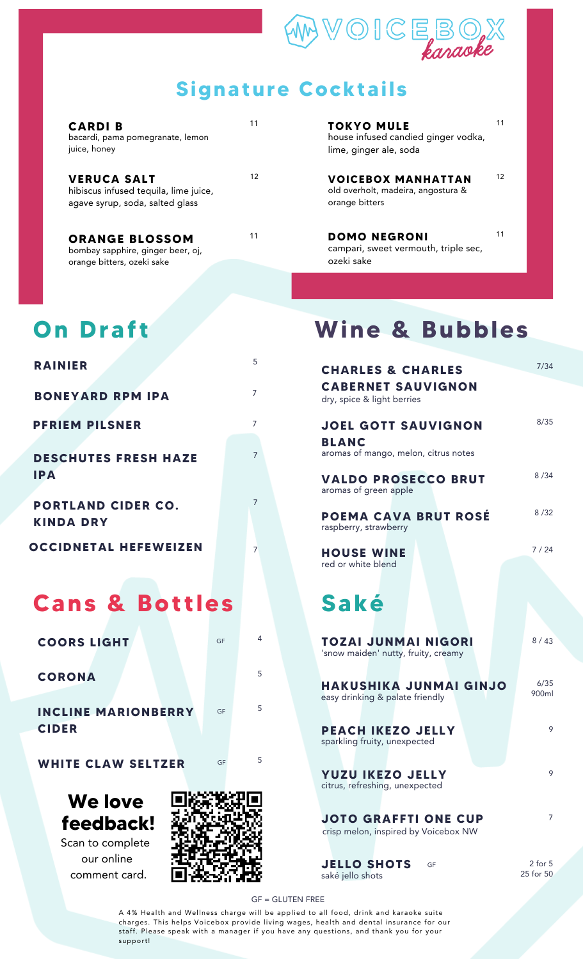

#### **Signature Cocktails**

| <b>CARDIB</b><br>bacardi, pama pomegranate, lemon<br>juice, honey                              | 11 |
|------------------------------------------------------------------------------------------------|----|
| <b>VERUCA SALT</b><br>hibiscus infused tequila, lime juice,<br>agave syrup, soda, salted glass | 12 |
| <b>ORANGE BLOSSOM</b><br>bombay sapphire, ginger beer, oi.                                     | 11 |

bombay sapphire, ginger beer, oj, orange bitters, ozeki sake

### **On Draf t**

| <b>RAINIER</b>                                |    | 5              |
|-----------------------------------------------|----|----------------|
| <b>BONEYARD RPM IPA</b>                       |    | 7              |
| <b>PFRIEM PILSNER</b>                         |    | $\overline{7}$ |
| <b>DESCHUTES FRESH HAZE</b><br><b>IPA</b>     |    | 7              |
| <b>PORTLAND CIDER CO.</b><br><b>KINDA DRY</b> |    | 7              |
| <b>OCCIDNETAL HEFEWEIZEN</b>                  |    | $\overline{7}$ |
| <b>Cans &amp; Bottles</b>                     |    |                |
| <b>COORS LIGHT</b>                            | GF | 4              |
| <b>CORONA</b>                                 |    | 5              |
| <b>INCLINE MARIONBERRY</b><br><b>CIDER</b>    | GF | 5              |
| <b>WHITE CLAW SELTZER</b>                     | GF | 5              |

### **We love feedback!**

Scan to complete our online comment card.



**TOKYO MULE** house infused candied ginger vodka, lime, ginger ale, soda

11

12

<sup>12</sup> **VOICEBOX MANHATTAN** old overholt, madeira, angostura & orange bitters

11 **DOMO NEGRONI** campari, sweet vermouth, triple sec, ozeki sake 11

# **Wine & Bubbles**

| C.                  | <b>CHARLES &amp; CHARLES</b>                                                       | 7/34                     |
|---------------------|------------------------------------------------------------------------------------|--------------------------|
| 7                   | <b>CABERNET SAUVIGNON</b><br>dry, spice & light berries                            |                          |
| 7<br>$\overline{7}$ | <b>JOEL GOTT SAUVIGNON</b><br><b>BLANC</b><br>aromas of mango, melon, citrus notes | 8/35                     |
| 7                   | <b>VALDO PROSECCO BRUT</b><br>aromas of green apple                                | 8/34                     |
|                     | POEMA CAVA BRUT ROSÉ<br>raspberry, strawberry                                      | 8/32                     |
| $\overline{7}$      | <b>HOUSE WINE</b><br>red or white blend                                            | 7 / 24                   |
|                     | Saké                                                                               |                          |
|                     |                                                                                    |                          |
| 4                   | <b>TOZAI JUNMAI NIGORI</b><br>'snow maiden' nutty, fruity, creamy                  | 8/43                     |
| 5<br>5              | <b>HAKUSHIKA JUNMAI GINJO</b><br>easy drinking & palate friendly                   | 6/35<br>900ml            |
|                     | <b>PEACH IKEZO JELLY</b><br>sparkling fruity, unexpected                           | 9                        |
| 5                   | <b>YUZU IKEZO JELLY</b><br>citrus, refreshing, unexpected                          | 9                        |
|                     | <b>JOTO GRAFFTI ONE CUP</b><br>crisp melon, inspired by Voicebox NW                | 7                        |
| ļ                   | <b>JELLO SHOTS</b><br>GF<br>saké jello shots                                       | $2$ for $5$<br>25 for 50 |

GF = GLUTEN FREE

A 4% Health and Wellness charge will be applied to all food, drink and karaoke suite charges. This helps Voicebox provide living wages, health and dental insurance for our staff. Please speak with a manager if you have any questions, and thank you for your support!